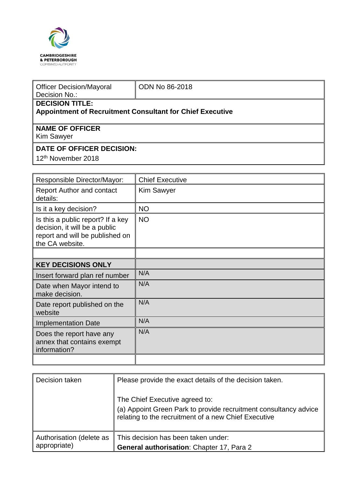

| <b>Officer Decision/Mayoral</b><br>Decision No.:                                           | <b>ODN No 86-2018</b> |  |  |  |  |
|--------------------------------------------------------------------------------------------|-----------------------|--|--|--|--|
| <b>DECISION TITLE:</b><br><b>Appointment of Recruitment Consultant for Chief Executive</b> |                       |  |  |  |  |
| <b>NAME OF OFFICER</b><br><b>Kim Sawyer</b>                                                |                       |  |  |  |  |
| DATE OF OFFICER DECISION:                                                                  |                       |  |  |  |  |
| 12 <sup>th</sup> November 2018                                                             |                       |  |  |  |  |

| Responsible Director/Mayor:                                                                                              | <b>Chief Executive</b> |
|--------------------------------------------------------------------------------------------------------------------------|------------------------|
| <b>Report Author and contact</b><br>details:                                                                             | <b>Kim Sawyer</b>      |
| Is it a key decision?                                                                                                    | <b>NO</b>              |
| Is this a public report? If a key<br>decision, it will be a public<br>report and will be published on<br>the CA website. | <b>NO</b>              |
|                                                                                                                          |                        |
| <b>KEY DECISIONS ONLY</b>                                                                                                |                        |
| Insert forward plan ref number                                                                                           | N/A                    |
| Date when Mayor intend to<br>make decision.                                                                              | N/A                    |
| Date report published on the<br>website                                                                                  | N/A                    |
| <b>Implementation Date</b>                                                                                               | N/A                    |
| Does the report have any<br>annex that contains exempt<br>information?                                                   | N/A                    |
|                                                                                                                          |                        |

| Decision taken                           | Please provide the exact details of the decision taken.                                                                                                    |
|------------------------------------------|------------------------------------------------------------------------------------------------------------------------------------------------------------|
|                                          | The Chief Executive agreed to:<br>(a) Appoint Green Park to provide recruitment consultancy advice<br>relating to the recruitment of a new Chief Executive |
| Authorisation (delete as<br>appropriate) | This decision has been taken under:<br>General authorisation: Chapter 17, Para 2                                                                           |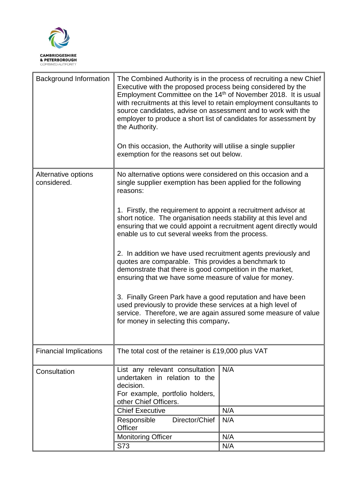

| <b>Background Information</b>      | The Combined Authority is in the process of recruiting a new Chief<br>Executive with the proposed process being considered by the<br>Employment Committee on the 14 <sup>th</sup> of November 2018. It is usual<br>with recruitments at this level to retain employment consultants to<br>source candidates, advise on assessment and to work with the<br>employer to produce a short list of candidates for assessment by<br>the Authority.<br>On this occasion, the Authority will utilise a single supplier<br>exemption for the reasons set out below.                                                                                                                                                                                                                                                                                                                                       |                   |  |
|------------------------------------|--------------------------------------------------------------------------------------------------------------------------------------------------------------------------------------------------------------------------------------------------------------------------------------------------------------------------------------------------------------------------------------------------------------------------------------------------------------------------------------------------------------------------------------------------------------------------------------------------------------------------------------------------------------------------------------------------------------------------------------------------------------------------------------------------------------------------------------------------------------------------------------------------|-------------------|--|
| Alternative options<br>considered. | No alternative options were considered on this occasion and a<br>single supplier exemption has been applied for the following<br>reasons:<br>1. Firstly, the requirement to appoint a recruitment advisor at<br>short notice. The organisation needs stability at this level and<br>ensuring that we could appoint a recruitment agent directly would<br>enable us to cut several weeks from the process.<br>2. In addition we have used recruitment agents previously and<br>quotes are comparable. This provides a benchmark to<br>demonstrate that there is good competition in the market,<br>ensuring that we have some measure of value for money.<br>3. Finally Green Park have a good reputation and have been<br>used previously to provide these services at a high level of<br>service. Therefore, we are again assured some measure of value<br>for money in selecting this company. |                   |  |
| <b>Financial Implications</b>      | The total cost of the retainer is £19,000 plus VAT                                                                                                                                                                                                                                                                                                                                                                                                                                                                                                                                                                                                                                                                                                                                                                                                                                               |                   |  |
| Consultation                       | List any relevant consultation<br>undertaken in relation to the<br>decision.<br>For example, portfolio holders,<br>other Chief Officers.<br><b>Chief Executive</b><br>Director/Chief<br>Responsible<br>Officer                                                                                                                                                                                                                                                                                                                                                                                                                                                                                                                                                                                                                                                                                   | N/A<br>N/A<br>N/A |  |
|                                    | <b>Monitoring Officer</b><br>S73                                                                                                                                                                                                                                                                                                                                                                                                                                                                                                                                                                                                                                                                                                                                                                                                                                                                 | N/A<br>N/A        |  |
|                                    |                                                                                                                                                                                                                                                                                                                                                                                                                                                                                                                                                                                                                                                                                                                                                                                                                                                                                                  |                   |  |